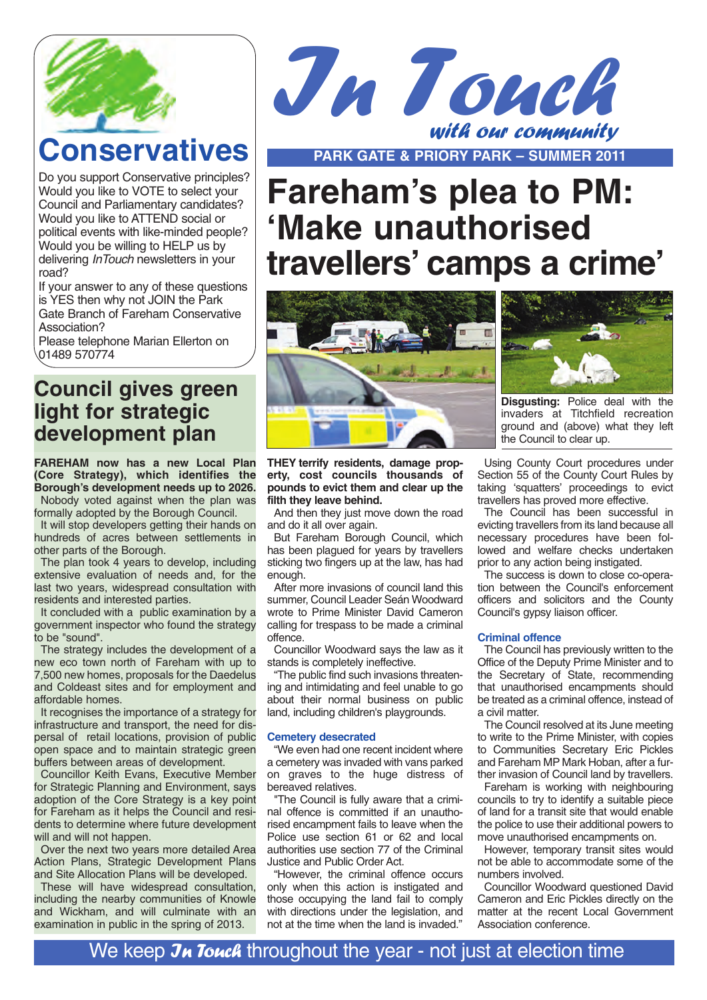

# **Conservatives**

Do you support Conservative principles? Would you like to VOTE to select your Council and Parliamentary candidates? Would you like to ATTEND social or political events with like-minded people? Would you be willing to HELP us by delivering *InTouch* newsletters in your road?

If your answer to any of these questions is YES then why not JOIN the Park Gate Branch of Fareham Conservative Association?

Please telephone Marian Ellerton on 01489 570774

## **Council gives green light for strategic development plan**

**FAREHAM now has a new Local Plan (Core Strategy), which identifies the Borough's development needs up to 2026.** Nobody voted against when the plan was

formally adopted by the Borough Council. It will stop developers getting their hands on hundreds of acres between settlements in other parts of the Borough.

The plan took 4 years to develop, including extensive evaluation of needs and, for the last two years, widespread consultation with residents and interested parties.

It concluded with a public examination by a government inspector who found the strategy to be "sound".

The strategy includes the development of a new eco town north of Fareham with up to 7,500 new homes, proposals for the Daedelus and Coldeast sites and for employment and affordable homes.

It recognises the importance of a strategy for infrastructure and transport, the need for dispersal of retail locations, provision of public open space and to maintain strategic green buffers between areas of development.

Councillor Keith Evans, Executive Member for Strategic Planning and Environment, says adoption of the Core Strategy is a key point for Fareham as it helps the Council and residents to determine where future development will and will not happen.

Over the next two years more detailed Area Action Plans, Strategic Development Plans and Site Allocation Plans will be developed.

These will have widespread consultation, including the nearby communities of Knowle and Wickham, and will culminate with an examination in public in the spring of 2013.



**PARK GATE & PRIORY PARK – SUMMER 2011**

# **Fareham's plea to PM: 'Make unauthorised travellers' camps a crime'**



**THEY terrify residents, damage property, cost councils thousands of pounds to evict them and clear up the filth they leave behind.**

And then they just move down the road and do it all over again.

But Fareham Borough Council, which has been plagued for years by travellers sticking two fingers up at the law, has had enough.

After more invasions of council land this summer, Council Leader Seán Woodward wrote to Prime Minister David Cameron calling for trespass to be made a criminal offence.

Councillor Woodward says the law as it stands is completely ineffective.

"The public find such invasions threatening and intimidating and feel unable to go about their normal business on public land, including children's playgrounds.

#### **Cemetery desecrated**

"We even had one recent incident where a cemetery was invaded with vans parked on graves to the huge distress of bereaved relatives.

"The Council is fully aware that a criminal offence is committed if an unauthorised encampment fails to leave when the Police use section 61 or 62 and local authorities use section 77 of the Criminal Justice and Public Order Act.

"However, the criminal offence occurs only when this action is instigated and those occupying the land fail to comply with directions under the legislation, and not at the time when the land is invaded."



**Disgusting:** Police deal with the invaders at Titchfield recreation ground and (above) what they left the Council to clear up.

Using County Court procedures under Section 55 of the County Court Rules by taking 'squatters' proceedings to evict travellers has proved more effective.

The Council has been successful in evicting travellers from its land because all necessary procedures have been followed and welfare checks undertaken prior to any action being instigated.

The success is down to close co-operation between the Council's enforcement officers and solicitors and the County Council's gypsy liaison officer.

#### **Criminal offence**

The Council has previously written to the Office of the Deputy Prime Minister and to the Secretary of State, recommending that unauthorised encampments should be treated as a criminal offence, instead of a civil matter.

The Council resolved at its June meeting to write to the Prime Minister, with copies to Communities Secretary Eric Pickles and Fareham MP Mark Hoban, after a further invasion of Council land by travellers.

Fareham is working with neighbouring councils to try to identify a suitable piece of land for a transit site that would enable the police to use their additional powers to move unauthorised encampments on.

However, temporary transit sites would not be able to accommodate some of the numbers involved.

Councillor Woodward questioned David Cameron and Eric Pickles directly on the matter at the recent Local Government Association conference.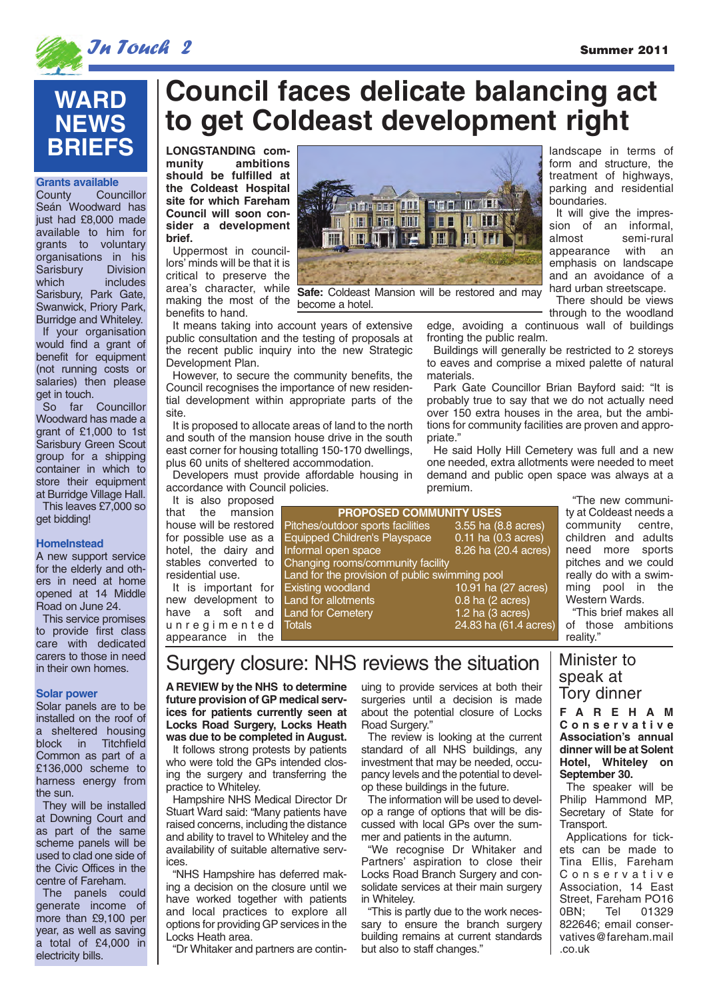landscape in terms of form and structure, the treatment of highways, parking and residential

It will give the impression of an informal, almost semi-rural appearance with an emphasis on landscape and an avoidance of a hard urban streetscape. There should be views

boundaries.



**Grants available**<br>County Cour

Sarisbury<br>which

get in touch.

get bidding!

**HomeInstead**

**Solar power**

the sun.

electricity bills.

Solar panels are to be installed on the roof of a sheltered housing block in Titchfield Common as part of a £136,000 scheme to harness energy from

They will be installed at Downing Court and as part of the same scheme panels will be used to clad one side of the Civic Offices in the centre of Fareham. The panels could generate income of more than £9,100 per year, as well as saving a total of £4,000 in

A new support service for the elderly and others in need at home opened at 14 Middle Road on June 24. This service promises to provide first class care with dedicated carers to those in need in their own homes.

Seán Woodward has just had £8,000 made available to him for grants to voluntary organisations in his<br>Sarisbury Division

**WARD NEWS BRIEFS**

Sarisbury, Park Gate, Swanwick, Priory Park, Burridge and Whiteley. If your organisation would find a grant of benefit for equipment (not running costs or salaries) then please

So far Councillor Woodward has made a grant of £1,000 to 1st Sarisbury Green Scout group for a shipping container in which to store their equipment at Burridge Village Hall. This leaves £7,000 so

Councillor

includes



# **Council faces delicate balancing act to get Coldeast development right**

**LONGSTANDING community ambitions should be fulfilled at the Coldeast Hospital site for which Fareham Council will soon consider a development brief.**

Uppermost in councillors' minds will be that it is critical to preserve the making the most of the benefits to hand.

It means taking into account years of extensive public consultation and the testing of proposals at the recent public inquiry into the new Strategic Development Plan.

However, to secure the community benefits, the Council recognises the importance of new residential development within appropriate parts of the site.

It is proposed to allocate areas of land to the north and south of the mansion house drive in the south east corner for housing totalling 150-170 dwellings, plus 60 units of sheltered accommodation.

Developers must p accordance with Cou

It is also propose that the mansio house will be restore for possible use as hotel, the dairy an stables converted to residential use.

It is important for new development to have a soft and unregimented appearance in the



become a hotel.

through to the woodland edge, avoiding a continuous wall of buildings fronting the public realm.

Buildings will generally be restricted to 2 storeys to eaves and comprise a mixed palette of natural materials.

Park Gate Councillor Brian Bayford said: "It is probably true to say that we do not actually need over 150 extra houses in the area, but the ambitions for community facilities are proven and appropriate."

He said Holly Hill Cemetery was full and a new one needed, extra allotments were needed to meet and and public open space was always at a nium.

> "The new community at Coldeast needs a community centre, children and adults need more sports pitches and we could really do with a swimming pool in the Western Wards.

> "This brief makes all of those ambitions reality."

# Surgery closure: NHS reviews the situation

Land for allotments 0.8 ha (2 acres) Land for Cemetery 1.2 ha (3 acres) Totals 24.83 ha (61.4 acres)

**A REVIEW by the NHS to determine future provision of GP medical services for patients currently seen at Locks Road Surgery, Locks Heath was due to be completed in August.**

It follows strong protests by patients who were told the GPs intended closing the surgery and transferring the practice to Whiteley.

Hampshire NHS Medical Director Dr Stuart Ward said: "Many patients have raised concerns, including the distance and ability to travel to Whiteley and the availability of suitable alternative services.

"NHS Hampshire has deferred making a decision on the closure until we have worked together with patients and local practices to explore all options for providing GP services in the Locks Heath area.

"Dr Whitaker and partners are contin-

uing to provide services at both their surgeries until a decision is made about the potential closure of Locks Road Surgery."

**PROPOSES** 

3.55 ha (8.8 acres) 0.11 ha  $(0.3 \text{ acres})$  $\overline{8.26}$  ha  $\overline{(20.4 \text{ acres})}$ 

10.91 ha (27 acres)

The review is looking at the current standard of all NHS buildings, any investment that may be needed, occupancy levels and the potential to develop these buildings in the future.

The information will be used to develop a range of options that will be discussed with local GPs over the summer and patients in the autumn.

"We recognise Dr Whitaker and Partners' aspiration to close their Locks Road Branch Surgery and consolidate services at their main surgery in Whiteley.

"This is partly due to the work necessary to ensure the branch surgery building remains at current standards but also to staff changes."

## Minister to speak at Tory dinner

**FAREHAM Conservative Association's annual dinner will be at Solent Hotel, Whiteley on September 30.**

The speaker will be Philip Hammond MP, Secretary of State for Transport.

Applications for tickets can be made to Tina Ellis, Fareham Conservative Association, 14 East Street, Fareham PO16<br>
OBN: Tel 01329 Tel 01329 822646; email conservatives@fareham.mail .co.uk

Land for the provision of public swimming pool<br>) Existing woodland 10.91 ha

| ١d | provide affordable housing in<br>dem<br>uncil policies.<br>prem |
|----|-----------------------------------------------------------------|
| 'n | <b>PROPOSED COMMUN</b>                                          |
| d. | Pitches/outdoor sports facilities                               |
| a  | Equipped Children's Playspace                                   |
|    | d Informal open space                                           |
| Ö. | Changing rooms/community facility                               |
|    | a sentido de segundades de la calendaria de la calenda          |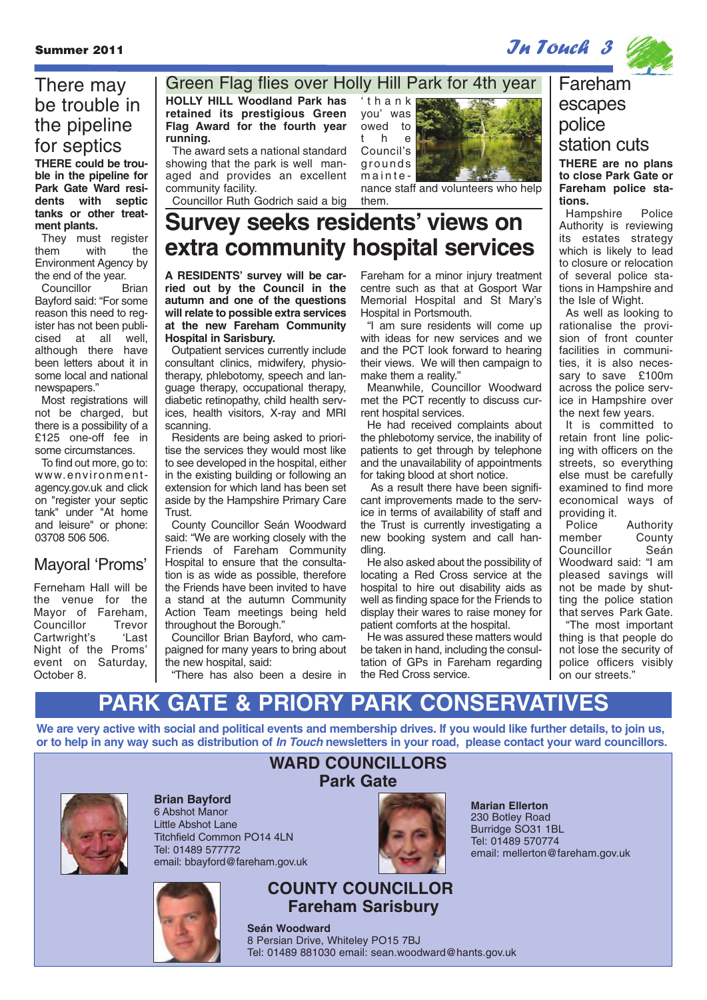Summer 2011 **In Touch 3** 



## **THERE could be trou-**There may be trouble in the pipeline for septics

**ble in the pipeline for Park Gate Ward residents with septic tanks or other treatment plants.**

They must register them with the Environment Agency by the end of the year.

Councillor Brian Bayford said: "For some reason this need to register has not been publicised at all well, although there have been letters about it in some local and national newspapers."

Most registrations will not be charged, but there is a possibility of a £125 one-off fee in some circumstances.

To find out more, go to: www.environmentagency.gov.uk and click on "register your septic tank" under "At home and leisure" or phone: 03708 506 506.

## Mayoral 'Proms'

Ferneham Hall will be the venue for the Mayor of Fareham,<br>Councillor Trevor Councillor Trevor<br>Cartwright's 'Last Cartwright's Night of the Proms' event on Saturday, October 8.

**HOLLY HILL Woodland Park has retained its prestigious Green Flag Award for the fourth year running.** Green Flag flies over Holly Hill Park for 4th year

The award sets a national standard showing that the park is well managed and provides an excellent community facility. Councillor Ruth Godrich said a big

'thank you' was owed to the Council's grounds mainte-



nance staff and volunteers who help them.

# **Survey seeks residents' views on extra community hospital services**

**A RESIDENTS' survey will be carried out by the Council in the autumn and one of the questions will relate to possible extra services at the new Fareham Community Hospital in Sarisbury.** 

Outpatient services currently include consultant clinics, midwifery, physiotherapy, phlebotomy, speech and language therapy, occupational therapy, diabetic retinopathy, child health services, health visitors, X-ray and MRI scanning.

Residents are being asked to prioritise the services they would most like to see developed in the hospital, either in the existing building or following an extension for which land has been set aside by the Hampshire Primary Care Trust.

County Councillor Seán Woodward said: "We are working closely with the Friends of Fareham Community Hospital to ensure that the consultation is as wide as possible, therefore the Friends have been invited to have a stand at the autumn Community Action Team meetings being held throughout the Borough."

Councillor Brian Bayford, who campaigned for many years to bring about the new hospital, said:

"There has also been a desire in

Fareham for a minor injury treatment centre such as that at Gosport War Memorial Hospital and St Mary's Hospital in Portsmouth.

"I am sure residents will come up with ideas for new services and we and the PCT look forward to hearing their views. We will then campaign to make them a reality."

Meanwhile, Councillor Woodward met the PCT recently to discuss current hospital services.

He had received complaints about the phlebotomy service, the inability of patients to get through by telephone and the unavailability of appointments for taking blood at short notice.

As a result there have been significant improvements made to the service in terms of availability of staff and the Trust is currently investigating a new booking system and call handling.

He also asked about the possibility of locating a Red Cross service at the hospital to hire out disability aids as well as finding space for the Friends to display their wares to raise money for patient comforts at the hospital.

He was assured these matters would be taken in hand, including the consultation of GPs in Fareham regarding the Red Cross service.

## **THERE are no plans** Fareham escapes police station cuts

**to close Park Gate or Fareham police stations.**

Hampshire Police Authority is reviewing its estates strategy which is likely to lead to closure or relocation of several police stations in Hampshire and the Isle of Wight.

As well as looking to rationalise the provision of front counter facilities in communities, it is also necessary to save £100m across the police service in Hampshire over the next few years.

It is committed to retain front line policing with officers on the streets, so everything else must be carefully examined to find more economical ways of providing it.

Police Authority<br>
member County County<br>Seán Councillor Woodward said: "I am pleased savings will not be made by shutting the police station that serves Park Gate.

"The most important thing is that people do not lose the security of police officers visibly on our streets."

# **PARK GATE & PRIORY PARK CONSERVAT**

**We are very active with social and political events and membership drives. If you would like further details, to join us, or to help in any way such as distribution of In Touch newsletters in your road, please contact your ward councillors.**



**Brian Bayford** 6 Abshot Manor Little Abshot Lane Titchfield Common PO14 4LN Tel: 01489 577772 email: bbayford@fareham.gov.uk



## **COUNTY COUNCILLOR Fareham Sarisbury**

**Seán Woodward** 8 Persian Drive, Whiteley PO15 7BJ Tel: 01489 881030 email: sean.woodward@hants.gov.uk

**WARD COUNCILLORS Park Gate**

> **Marian Ellerton** 230 Botley Road Burridge SO31 1BL Tel: 01489 570774 email: mellerton@fareham.gov.uk